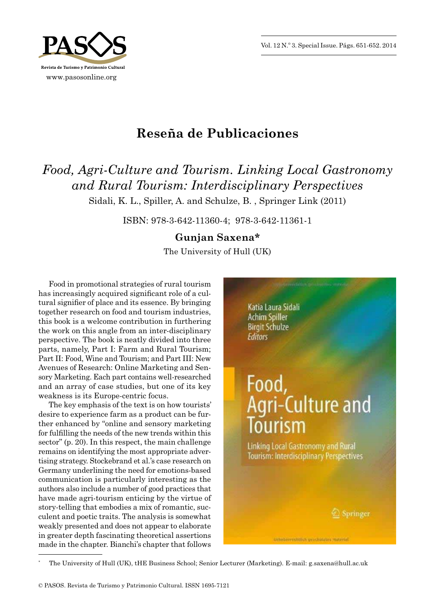Vol. 12 N.º 3. Special Issue. Págs. 651-652. 2014



## **Reseña de Publicaciones**

## *Food, Agri‑Culture and Tourism. Linking Local Gastronomy and Rural Tourism: Interdisciplinary Perspectives*

Sidali, K. L., Spiller, A. and Schulze, B. , Springer Link (2011)

ISBN: 978 -3 -642 -11360 -4; 978 -3 -642 -11361 -1

## **Gunjan Saxena\***

The University of Hull (UK)

Food in promotional strategies of rural tourism has increasingly acquired significant role of a cultural signifier of place and its essence. By bringing together research on food and tourism industries, this book is a welcome contribution in furthering the work on this angle from an inter -disciplinary perspective. The book is neatly divided into three parts, namely, Part I: Farm and Rural Tourism; Part II: Food, Wine and Tourism; and Part III: New Avenues of Research: Online Marketing and Sensory Marketing. Each part contains well -researched and an array of case studies, but one of its key weakness is its Europe -centric focus.

The key emphasis of the text is on how tourists' desire to experience farm as a product can be further enhanced by "online and sensory marketing for fulfilling the needs of the new trends within this sector" (p. 20). In this respect, the main challenge remains on identifying the most appropriate advertising strategy. Stockebrand et al.'s case research on Germany underlining the need for emotions -based communication is particularly interesting as the authors also include a number of good practices that have made agri-tourism enticing by the virtue of story -telling that embodies a mix of romantic, succulent and poetic traits. The analysis is somewhat weakly presented and does not appear to elaborate in greater depth fascinating theoretical assertions made in the chapter. Bianchi's chapter that follows

**Katia Laura Sidali Achim Spiller Birgit Schulze Editors** Food, Agri-Culture and Tourism **Linking Local Gastronomy and Rural Tourism: Interdisciplinary Perspectives** 

<sup>\*</sup> The University of Hull (UK), tHE Business School; Senior Lecturer (Marketing). E -mail: g.saxena@hull.ac.uk